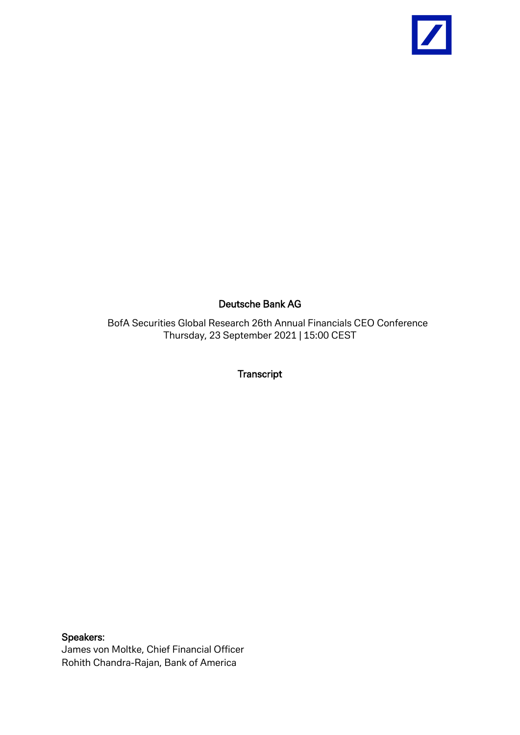

## Deutsche Bank AG

BofA Securities Global Research 26th Annual Financials CEO Conference Thursday, 23 September 2021 | 15:00 CEST

Transcript

Speakers: James von Moltke, Chief Financial Officer Rohith Chandra-Rajan, Bank of America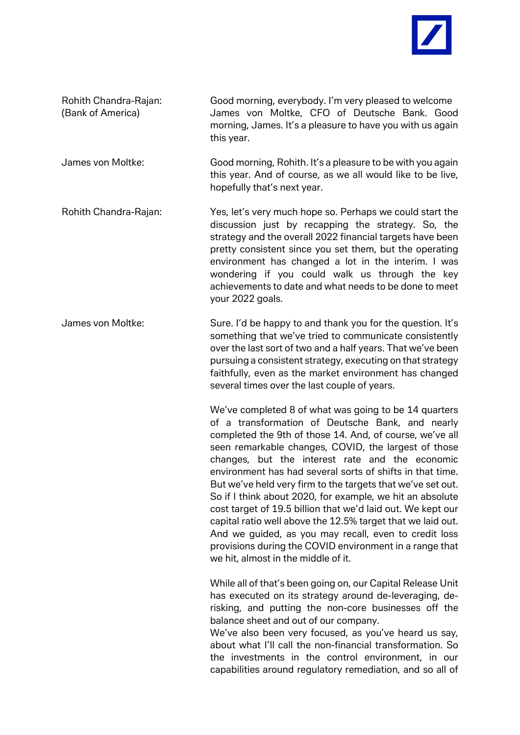

Rohith Chandra-Rajan: Good morning, everybody. I'm very pleased to welcome (Bank of America) James von Moltke, CFO of Deutsche Bank. Good morning, James. It's a pleasure to have you with us again this year.

- James von Moltke: Good morning, Rohith. It's a pleasure to be with you again this year. And of course, as we all would like to be live, hopefully that's next year.
- Rohith Chandra-Rajan: Yes, let's very much hope so. Perhaps we could start the discussion just by recapping the strategy. So, the strategy and the overall 2022 financial targets have been pretty consistent since you set them, but the operating environment has changed a lot in the interim. I was wondering if you could walk us through the key achievements to date and what needs to be done to meet your 2022 goals.
- James von Moltke: Sure. I'd be happy to and thank you for the question. It's something that we've tried to communicate consistently over the last sort of two and a half years. That we've been pursuing a consistent strategy, executing on that strategy faithfully, even as the market environment has changed several times over the last couple of years.

We've completed 8 of what was going to be 14 quarters of a transformation of Deutsche Bank, and nearly completed the 9th of those 14. And, of course, we've all seen remarkable changes, COVID, the largest of those changes, but the interest rate and the economic environment has had several sorts of shifts in that time. But we've held very firm to the targets that we've set out. So if I think about 2020, for example, we hit an absolute cost target of 19.5 billion that we'd laid out. We kept our capital ratio well above the 12.5% target that we laid out. And we guided, as you may recall, even to credit loss provisions during the COVID environment in a range that we hit, almost in the middle of it.

While all of that's been going on, our Capital Release Unit has executed on its strategy around de-leveraging, derisking, and putting the non-core businesses off the balance sheet and out of our company.

We've also been very focused, as you've heard us say, about what I'll call the non-financial transformation. So the investments in the control environment, in our capabilities around regulatory remediation, and so all of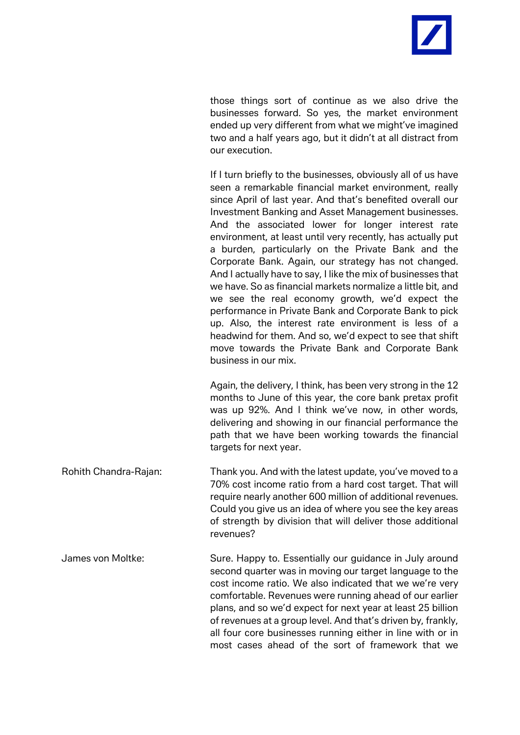

those things sort of continue as we also drive the businesses forward. So yes, the market environment ended up very different from what we might've imagined two and a half years ago, but it didn't at all distract from our execution.

If I turn briefly to the businesses, obviously all of us have seen a remarkable financial market environment, really since April of last year. And that's benefited overall our Investment Banking and Asset Management businesses. And the associated lower for longer interest rate environment, at least until very recently, has actually put a burden, particularly on the Private Bank and the Corporate Bank. Again, our strategy has not changed. And I actually have to say, I like the mix of businesses that we have. So as financial markets normalize a little bit, and we see the real economy growth, we'd expect the performance in Private Bank and Corporate Bank to pick up. Also, the interest rate environment is less of a headwind for them. And so, we'd expect to see that shift move towards the Private Bank and Corporate Bank business in our mix.

Again, the delivery, I think, has been very strong in the 12 months to June of this year, the core bank pretax profit was up 92%. And I think we've now, in other words, delivering and showing in our financial performance the path that we have been working towards the financial targets for next year.

Rohith Chandra-Rajan: Thank you. And with the latest update, you've moved to a 70% cost income ratio from a hard cost target. That will require nearly another 600 million of additional revenues. Could you give us an idea of where you see the key areas of strength by division that will deliver those additional revenues?

James von Moltke: Sure. Happy to. Essentially our guidance in July around second quarter was in moving our target language to the cost income ratio. We also indicated that we we're very comfortable. Revenues were running ahead of our earlier plans, and so we'd expect for next year at least 25 billion of revenues at a group level. And that's driven by, frankly, all four core businesses running either in line with or in most cases ahead of the sort of framework that we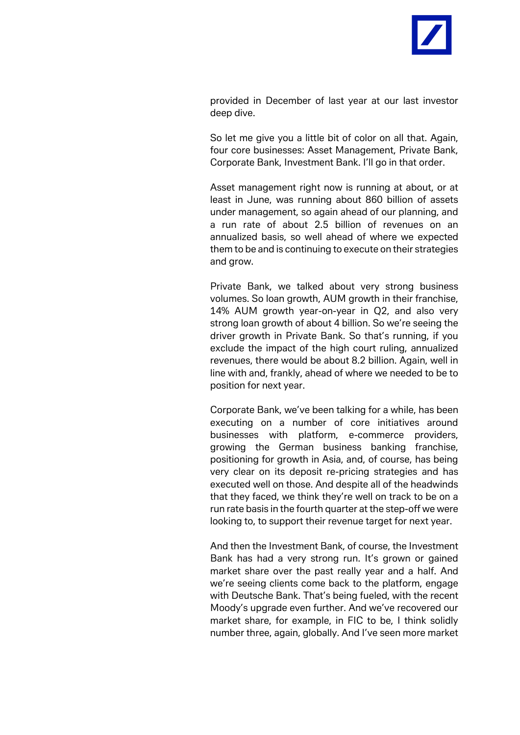

provided in December of last year at our last investor deep dive.

So let me give you a little bit of color on all that. Again, four core businesses: Asset Management, Private Bank, Corporate Bank, Investment Bank. I'll go in that order.

Asset management right now is running at about, or at least in June, was running about 860 billion of assets under management, so again ahead of our planning, and a run rate of about 2.5 billion of revenues on an annualized basis, so well ahead of where we expected them to be and is continuing to execute on their strategies and grow.

Private Bank, we talked about very strong business volumes. So loan growth, AUM growth in their franchise, 14% AUM growth year-on-year in Q2, and also very strong loan growth of about 4 billion. So we're seeing the driver growth in Private Bank. So that's running, if you exclude the impact of the high court ruling, annualized revenues, there would be about 8.2 billion. Again, well in line with and, frankly, ahead of where we needed to be to position for next year.

Corporate Bank, we've been talking for a while, has been executing on a number of core initiatives around businesses with platform, e-commerce providers, growing the German business banking franchise, positioning for growth in Asia, and, of course, has being very clear on its deposit re-pricing strategies and has executed well on those. And despite all of the headwinds that they faced, we think they're well on track to be on a run rate basis in the fourth quarter at the step-off we were looking to, to support their revenue target for next year.

And then the Investment Bank, of course, the Investment Bank has had a very strong run. It's grown or gained market share over the past really year and a half. And we're seeing clients come back to the platform, engage with Deutsche Bank. That's being fueled, with the recent Moody's upgrade even further. And we've recovered our market share, for example, in FIC to be, I think solidly number three, again, globally. And I've seen more market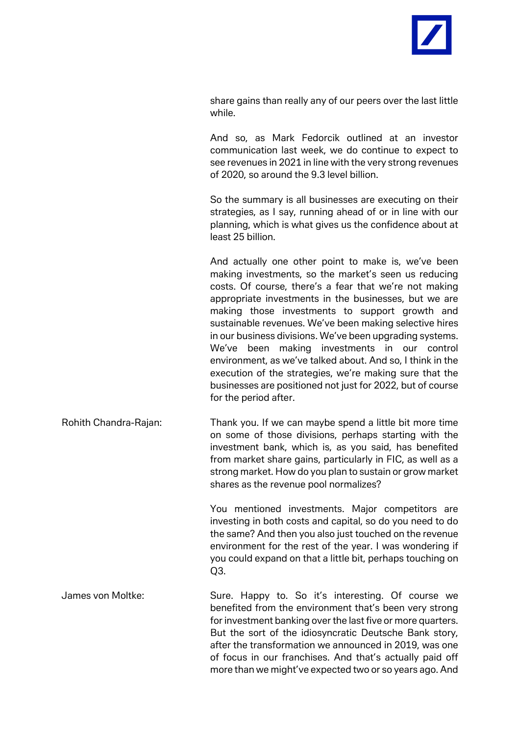

share gains than really any of our peers over the last little while.

And so, as Mark Fedorcik outlined at an investor communication last week, we do continue to expect to see revenues in 2021 in line with the very strong revenues of 2020, so around the 9.3 level billion.

So the summary is all businesses are executing on their strategies, as I say, running ahead of or in line with our planning, which is what gives us the confidence about at least 25 billion.

And actually one other point to make is, we've been making investments, so the market's seen us reducing costs. Of course, there's a fear that we're not making appropriate investments in the businesses, but we are making those investments to support growth and sustainable revenues. We've been making selective hires in our business divisions. We've been upgrading systems. We've been making investments in our control environment, as we've talked about. And so, I think in the execution of the strategies, we're making sure that the businesses are positioned not just for 2022, but of course for the period after.

Rohith Chandra-Rajan: Thank you. If we can maybe spend a little bit more time on some of those divisions, perhaps starting with the investment bank, which is, as you said, has benefited from market share gains, particularly in FIC, as well as a strong market. How do you plan to sustain or grow market shares as the revenue pool normalizes?

> You mentioned investments. Major competitors are investing in both costs and capital, so do you need to do the same? And then you also just touched on the revenue environment for the rest of the year. I was wondering if you could expand on that a little bit, perhaps touching on  $O3.$

James von Moltke: Sure. Happy to. So it's interesting. Of course we benefited from the environment that's been very strong for investment banking over the last five or more quarters. But the sort of the idiosyncratic Deutsche Bank story, after the transformation we announced in 2019, was one of focus in our franchises. And that's actually paid off more than we might've expected two or so years ago. And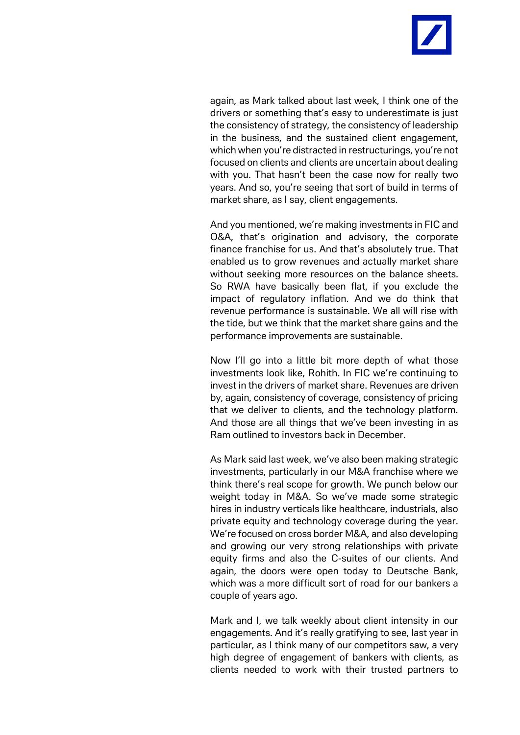

again, as Mark talked about last week, I think one of the drivers or something that's easy to underestimate is just the consistency of strategy, the consistency of leadership in the business, and the sustained client engagement, which when you're distracted in restructurings, you're not focused on clients and clients are uncertain about dealing with you. That hasn't been the case now for really two years. And so, you're seeing that sort of build in terms of market share, as I say, client engagements.

And you mentioned, we're making investments in FIC and O&A, that's origination and advisory, the corporate finance franchise for us. And that's absolutely true. That enabled us to grow revenues and actually market share without seeking more resources on the balance sheets. So RWA have basically been flat, if you exclude the impact of regulatory inflation. And we do think that revenue performance is sustainable. We all will rise with the tide, but we think that the market share gains and the performance improvements are sustainable.

Now I'll go into a little bit more depth of what those investments look like, Rohith. In FIC we're continuing to invest in the drivers of market share. Revenues are driven by, again, consistency of coverage, consistency of pricing that we deliver to clients, and the technology platform. And those are all things that we've been investing in as Ram outlined to investors back in December.

As Mark said last week, we've also been making strategic investments, particularly in our M&A franchise where we think there's real scope for growth. We punch below our weight today in M&A. So we've made some strategic hires in industry verticals like healthcare, industrials, also private equity and technology coverage during the year. We're focused on cross border M&A, and also developing and growing our very strong relationships with private equity firms and also the C-suites of our clients. And again, the doors were open today to Deutsche Bank, which was a more difficult sort of road for our bankers a couple of years ago.

Mark and I, we talk weekly about client intensity in our engagements. And it's really gratifying to see, last year in particular, as I think many of our competitors saw, a very high degree of engagement of bankers with clients, as clients needed to work with their trusted partners to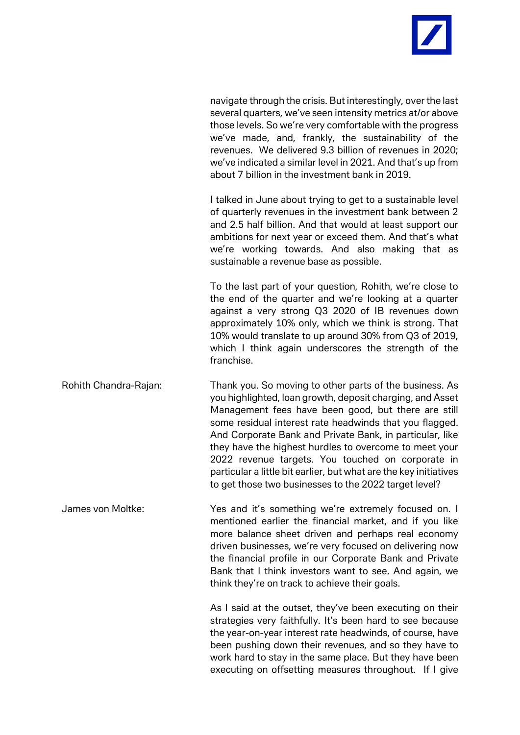

navigate through the crisis. But interestingly, over the last several quarters, we've seen intensity metrics at/or above those levels. So we're very comfortable with the progress we've made, and, frankly, the sustainability of the revenues. We delivered 9.3 billion of revenues in 2020; we've indicated a similar level in 2021. And that's up from about 7 billion in the investment bank in 2019.

I talked in June about trying to get to a sustainable level of quarterly revenues in the investment bank between 2 and 2.5 half billion. And that would at least support our ambitions for next year or exceed them. And that's what we're working towards. And also making that as sustainable a revenue base as possible.

To the last part of your question, Rohith, we're close to the end of the quarter and we're looking at a quarter against a very strong Q3 2020 of IB revenues down approximately 10% only, which we think is strong. That 10% would translate to up around 30% from Q3 of 2019, which I think again underscores the strength of the franchise.

Rohith Chandra-Rajan: Thank you. So moving to other parts of the business. As you highlighted, loan growth, deposit charging, and Asset Management fees have been good, but there are still some residual interest rate headwinds that you flagged. And Corporate Bank and Private Bank, in particular, like they have the highest hurdles to overcome to meet your 2022 revenue targets. You touched on corporate in particular a little bit earlier, but what are the key initiatives to get those two businesses to the 2022 target level?

James von Moltke: Yes and it's something we're extremely focused on. I mentioned earlier the financial market, and if you like more balance sheet driven and perhaps real economy driven businesses, we're very focused on delivering now the financial profile in our Corporate Bank and Private Bank that I think investors want to see. And again, we think they're on track to achieve their goals.

> As I said at the outset, they've been executing on their strategies very faithfully. It's been hard to see because the year-on-year interest rate headwinds, of course, have been pushing down their revenues, and so they have to work hard to stay in the same place. But they have been executing on offsetting measures throughout. If I give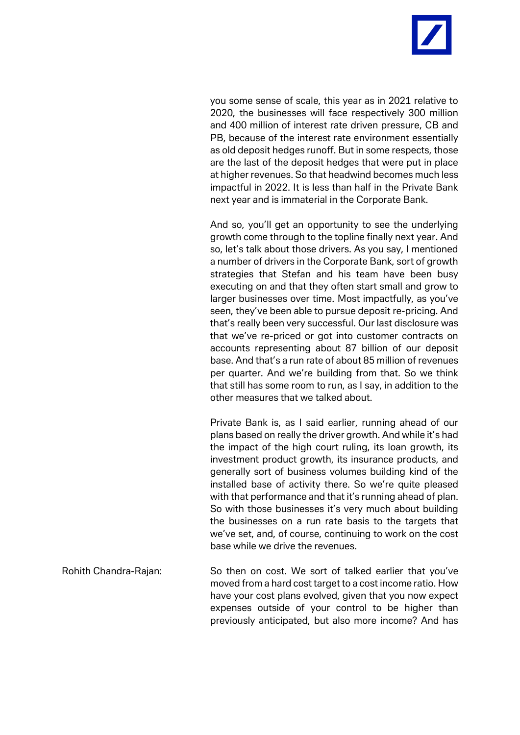

you some sense of scale, this year as in 2021 relative to 2020, the businesses will face respectively 300 million and 400 million of interest rate driven pressure, CB and PB, because of the interest rate environment essentially as old deposit hedges runoff. But in some respects, those are the last of the deposit hedges that were put in place at higher revenues. So that headwind becomes much less impactful in 2022. It is less than half in the Private Bank next year and is immaterial in the Corporate Bank.

And so, you'll get an opportunity to see the underlying growth come through to the topline finally next year. And so, let's talk about those drivers. As you say, I mentioned a number of drivers in the Corporate Bank, sort of growth strategies that Stefan and his team have been busy executing on and that they often start small and grow to larger businesses over time. Most impactfully, as you've seen, they've been able to pursue deposit re-pricing. And that's really been very successful. Our last disclosure was that we've re-priced or got into customer contracts on accounts representing about 87 billion of our deposit base. And that's a run rate of about 85 million of revenues per quarter. And we're building from that. So we think that still has some room to run, as I say, in addition to the other measures that we talked about.

Private Bank is, as I said earlier, running ahead of our plans based on really the driver growth. And while it's had the impact of the high court ruling, its loan growth, its investment product growth, its insurance products, and generally sort of business volumes building kind of the installed base of activity there. So we're quite pleased with that performance and that it's running ahead of plan. So with those businesses it's very much about building the businesses on a run rate basis to the targets that we've set, and, of course, continuing to work on the cost base while we drive the revenues.

Rohith Chandra-Rajan: So then on cost. We sort of talked earlier that you've moved from a hard cost target to a cost income ratio. How have your cost plans evolved, given that you now expect expenses outside of your control to be higher than previously anticipated, but also more income? And has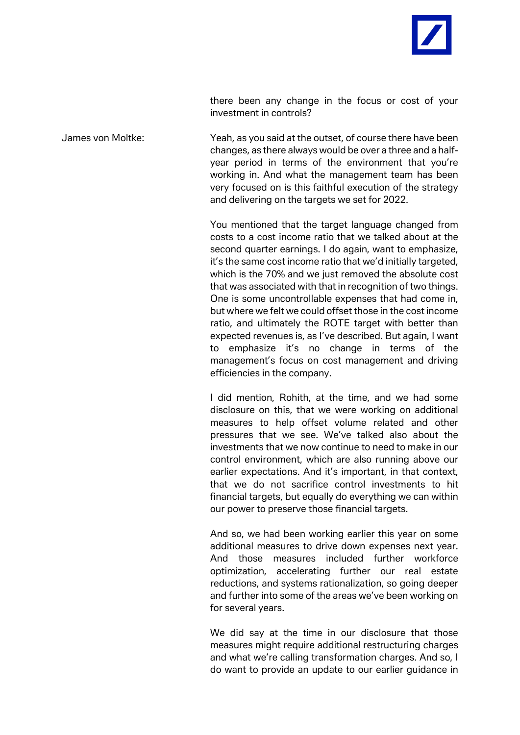

there been any change in the focus or cost of your investment in controls?

James von Moltke: Yeah, as you said at the outset, of course there have been changes, as there always would be over a three and a halfyear period in terms of the environment that you're working in. And what the management team has been very focused on is this faithful execution of the strategy and delivering on the targets we set for 2022.

> You mentioned that the target language changed from costs to a cost income ratio that we talked about at the second quarter earnings. I do again, want to emphasize, it's the same cost income ratio that we'd initially targeted, which is the 70% and we just removed the absolute cost that was associated with that in recognition of two things. One is some uncontrollable expenses that had come in, but where we felt we could offset those in the cost income ratio, and ultimately the ROTE target with better than expected revenues is, as I've described. But again, I want to emphasize it's no change in terms of the management's focus on cost management and driving efficiencies in the company.

> I did mention, Rohith, at the time, and we had some disclosure on this, that we were working on additional measures to help offset volume related and other pressures that we see. We've talked also about the investments that we now continue to need to make in our control environment, which are also running above our earlier expectations. And it's important, in that context, that we do not sacrifice control investments to hit financial targets, but equally do everything we can within our power to preserve those financial targets.

> And so, we had been working earlier this year on some additional measures to drive down expenses next year. And those measures included further workforce optimization, accelerating further our real estate reductions, and systems rationalization, so going deeper and further into some of the areas we've been working on for several years.

> We did say at the time in our disclosure that those measures might require additional restructuring charges and what we're calling transformation charges. And so, I do want to provide an update to our earlier guidance in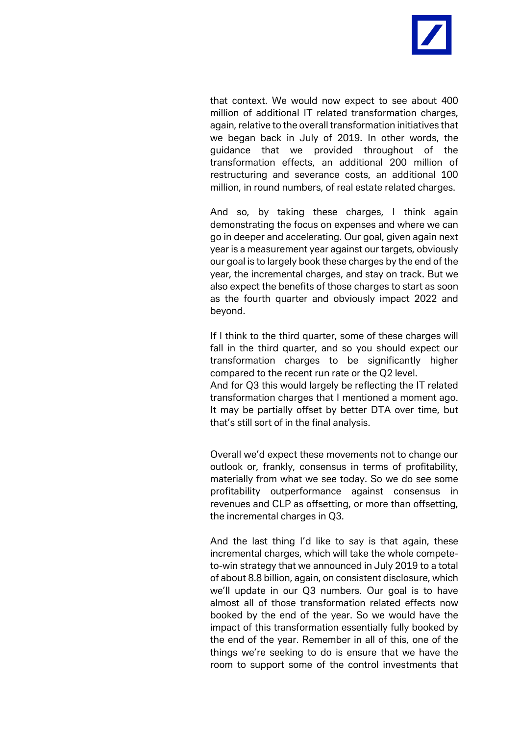

that context. We would now expect to see about 400 million of additional IT related transformation charges, again, relative to the overall transformation initiatives that we began back in July of 2019. In other words, the guidance that we provided throughout of the transformation effects, an additional 200 million of restructuring and severance costs, an additional 100 million, in round numbers, of real estate related charges.

And so, by taking these charges, I think again demonstrating the focus on expenses and where we can go in deeper and accelerating. Our goal, given again next year is a measurement year against our targets, obviously our goal is to largely book these charges by the end of the year, the incremental charges, and stay on track. But we also expect the benefits of those charges to start as soon as the fourth quarter and obviously impact 2022 and beyond.

If I think to the third quarter, some of these charges will fall in the third quarter, and so you should expect our transformation charges to be significantly higher compared to the recent run rate or the Q2 level. And for Q3 this would largely be reflecting the IT related transformation charges that I mentioned a moment ago. It may be partially offset by better DTA over time, but that's still sort of in the final analysis.

Overall we'd expect these movements not to change our outlook or, frankly, consensus in terms of profitability, materially from what we see today. So we do see some profitability outperformance against consensus in revenues and CLP as offsetting, or more than offsetting, the incremental charges in Q3.

And the last thing I'd like to say is that again, these incremental charges, which will take the whole competeto-win strategy that we announced in July 2019 to a total of about 8.8 billion, again, on consistent disclosure, which we'll update in our Q3 numbers. Our goal is to have almost all of those transformation related effects now booked by the end of the year. So we would have the impact of this transformation essentially fully booked by the end of the year. Remember in all of this, one of the things we're seeking to do is ensure that we have the room to support some of the control investments that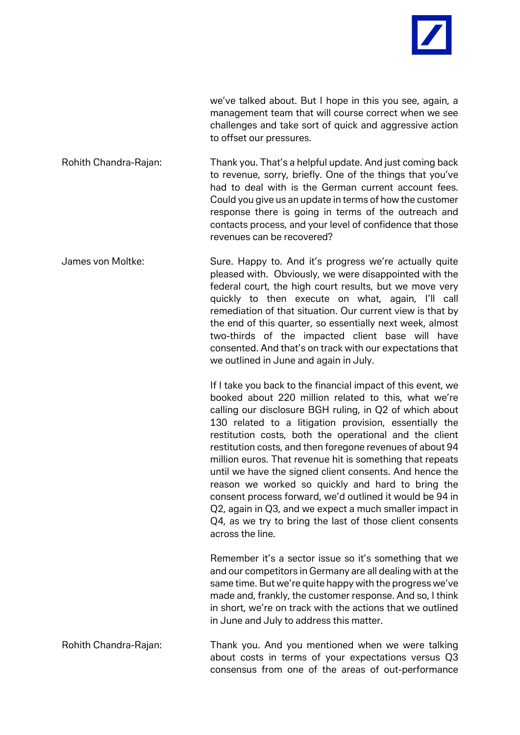

we've talked about. But I hope in this you see, again, a management team that will course correct when we see challenges and take sort of quick and aggressive action to offset our pressures.

Rohith Chandra-Rajan: Thank you. That's a helpful update. And just coming back to revenue, sorry, briefly. One of the things that you've had to deal with is the German current account fees. Could you give us an update in terms of how the customer response there is going in terms of the outreach and contacts process, and your level of confidence that those revenues can be recovered?

James von Moltke: Sure. Happy to. And it's progress we're actually quite pleased with. Obviously, we were disappointed with the federal court, the high court results, but we move very quickly to then execute on what, again, I'll call remediation of that situation. Our current view is that by the end of this quarter, so essentially next week, almost two-thirds of the impacted client base will have consented. And that's on track with our expectations that we outlined in June and again in July.

> If I take you back to the financial impact of this event, we booked about 220 million related to this, what we're calling our disclosure BGH ruling, in Q2 of which about 130 related to a litigation provision, essentially the restitution costs, both the operational and the client restitution costs, and then foregone revenues of about 94 million euros. That revenue hit is something that repeats until we have the signed client consents. And hence the reason we worked so quickly and hard to bring the consent process forward, we'd outlined it would be 94 in Q2, again in Q3, and we expect a much smaller impact in Q4, as we try to bring the last of those client consents across the line.

> Remember it's a sector issue so it's something that we and our competitors in Germany are all dealing with at the same time. But we're quite happy with the progress we've made and, frankly, the customer response. And so, I think in short, we're on track with the actions that we outlined in June and July to address this matter.

Rohith Chandra-Rajan: Thank you. And you mentioned when we were talking about costs in terms of your expectations versus Q3 consensus from one of the areas of out-performance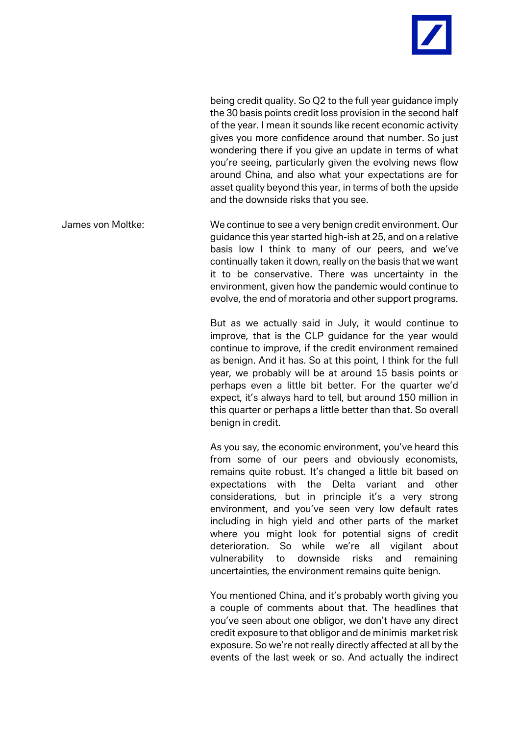

being credit quality. So Q2 to the full year guidance imply the 30 basis points credit loss provision in the second half of the year. I mean it sounds like recent economic activity gives you more confidence around that number. So just wondering there if you give an update in terms of what you're seeing, particularly given the evolving news flow around China, and also what your expectations are for asset quality beyond this year, in terms of both the upside and the downside risks that you see.

James von Moltke: We continue to see a very benign credit environment. Our guidance this year started high-ish at 25, and on a relative basis low I think to many of our peers, and we've continually taken it down, really on the basis that we want it to be conservative. There was uncertainty in the environment, given how the pandemic would continue to evolve, the end of moratoria and other support programs.

> But as we actually said in July, it would continue to improve, that is the CLP guidance for the year would continue to improve, if the credit environment remained as benign. And it has. So at this point, I think for the full year, we probably will be at around 15 basis points or perhaps even a little bit better. For the quarter we'd expect, it's always hard to tell, but around 150 million in this quarter or perhaps a little better than that. So overall benign in credit.

> As you say, the economic environment, you've heard this from some of our peers and obviously economists, remains quite robust. It's changed a little bit based on expectations with the Delta variant and other considerations, but in principle it's a very strong environment, and you've seen very low default rates including in high yield and other parts of the market where you might look for potential signs of credit deterioration. So while we're all vigilant about vulnerability to downside risks and remaining uncertainties, the environment remains quite benign.

> You mentioned China, and it's probably worth giving you a couple of comments about that. The headlines that you've seen about one obligor, we don't have any direct credit exposure to that obligor and de minimis market risk exposure. So we're not really directly affected at all by the events of the last week or so. And actually the indirect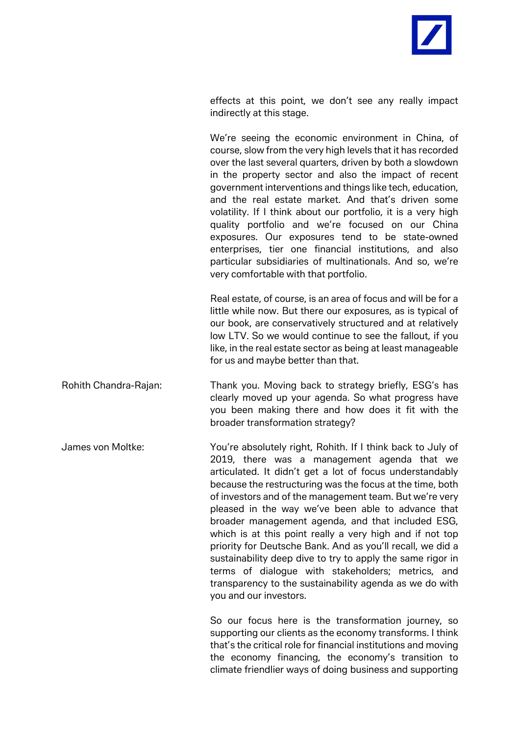

effects at this point, we don't see any really impact indirectly at this stage.

We're seeing the economic environment in China, of course, slow from the very high levels that it has recorded over the last several quarters, driven by both a slowdown in the property sector and also the impact of recent government interventions and things like tech, education, and the real estate market. And that's driven some volatility. If I think about our portfolio, it is a very high quality portfolio and we're focused on our China exposures. Our exposures tend to be state-owned enterprises, tier one financial institutions, and also particular subsidiaries of multinationals. And so, we're very comfortable with that portfolio.

Real estate, of course, is an area of focus and will be for a little while now. But there our exposures, as is typical of our book, are conservatively structured and at relatively low LTV. So we would continue to see the fallout, if you like, in the real estate sector as being at least manageable for us and maybe better than that.

- Rohith Chandra-Rajan: Thank you. Moving back to strategy briefly, ESG's has clearly moved up your agenda. So what progress have you been making there and how does it fit with the broader transformation strategy?
- James von Moltke: You're absolutely right, Rohith. If I think back to July of 2019, there was a management agenda that we articulated. It didn't get a lot of focus understandably because the restructuring was the focus at the time, both of investors and of the management team. But we're very pleased in the way we've been able to advance that broader management agenda, and that included ESG, which is at this point really a very high and if not top priority for Deutsche Bank. And as you'll recall, we did a sustainability deep dive to try to apply the same rigor in terms of dialogue with stakeholders; metrics, and transparency to the sustainability agenda as we do with you and our investors.

So our focus here is the transformation journey, so supporting our clients as the economy transforms. I think that's the critical role for financial institutions and moving the economy financing, the economy's transition to climate friendlier ways of doing business and supporting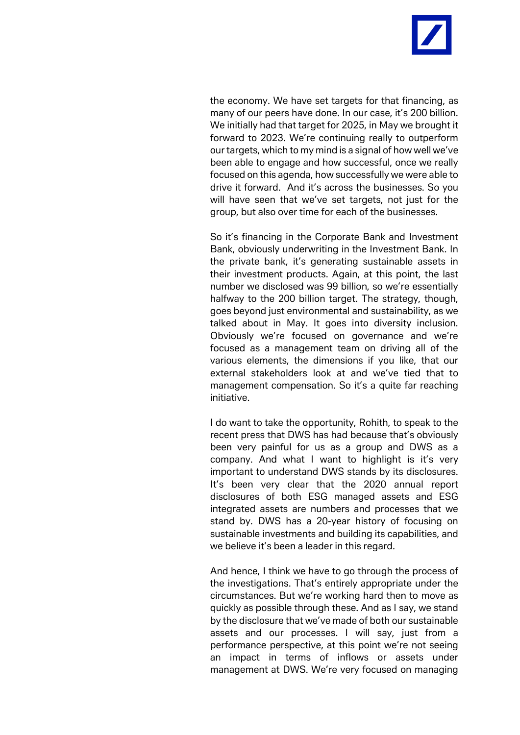

the economy. We have set targets for that financing, as many of our peers have done. In our case, it's 200 billion. We initially had that target for 2025, in May we brought it forward to 2023. We're continuing really to outperform our targets, which to my mind is a signal of how well we've been able to engage and how successful, once we really focused on this agenda, how successfully we were able to drive it forward. And it's across the businesses. So you will have seen that we've set targets, not just for the group, but also over time for each of the businesses.

So it's financing in the Corporate Bank and Investment Bank, obviously underwriting in the Investment Bank. In the private bank, it's generating sustainable assets in their investment products. Again, at this point, the last number we disclosed was 99 billion, so we're essentially halfway to the 200 billion target. The strategy, though, goes beyond just environmental and sustainability, as we talked about in May. It goes into diversity inclusion. Obviously we're focused on governance and we're focused as a management team on driving all of the various elements, the dimensions if you like, that our external stakeholders look at and we've tied that to management compensation. So it's a quite far reaching initiative.

I do want to take the opportunity, Rohith, to speak to the recent press that DWS has had because that's obviously been very painful for us as a group and DWS as a company. And what I want to highlight is it's very important to understand DWS stands by its disclosures. It's been very clear that the 2020 annual report disclosures of both ESG managed assets and ESG integrated assets are numbers and processes that we stand by. DWS has a 20-year history of focusing on sustainable investments and building its capabilities, and we believe it's been a leader in this regard.

And hence, I think we have to go through the process of the investigations. That's entirely appropriate under the circumstances. But we're working hard then to move as quickly as possible through these. And as I say, we stand by the disclosure that we've made of both our sustainable assets and our processes. I will say, just from a performance perspective, at this point we're not seeing an impact in terms of inflows or assets under management at DWS. We're very focused on managing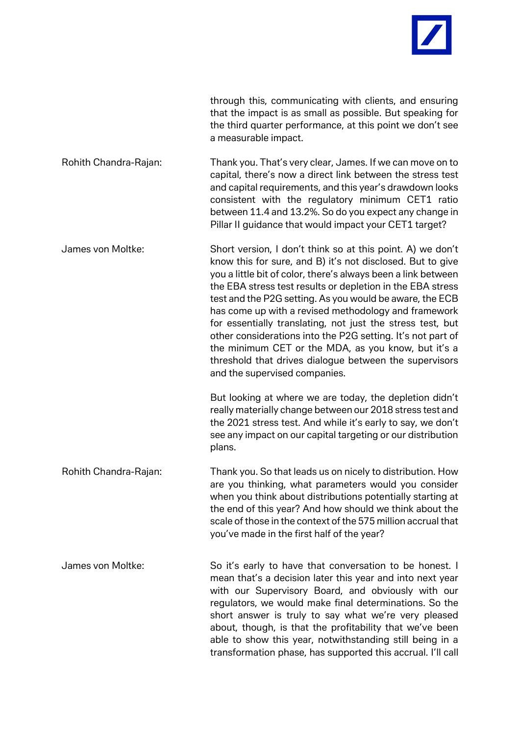

through this, communicating with clients, and ensuring that the impact is as small as possible. But speaking for the third quarter performance, at this point we don't see a measurable impact.

Rohith Chandra-Rajan: Thank you. That's very clear, James. If we can move on to capital, there's now a direct link between the stress test and capital requirements, and this year's drawdown looks consistent with the regulatory minimum CET1 ratio between 11.4 and 13.2%. So do you expect any change in Pillar II guidance that would impact your CET1 target?

James von Moltke: Short version, I don't think so at this point. A) we don't know this for sure, and B) it's not disclosed. But to give you a little bit of color, there's always been a link between the EBA stress test results or depletion in the EBA stress test and the P2G setting. As you would be aware, the ECB has come up with a revised methodology and framework for essentially translating, not just the stress test, but other considerations into the P2G setting. It's not part of the minimum CET or the MDA, as you know, but it's a threshold that drives dialogue between the supervisors and the supervised companies.

> But looking at where we are today, the depletion didn't really materially change between our 2018 stress test and the 2021 stress test. And while it's early to say, we don't see any impact on our capital targeting or our distribution plans.

Rohith Chandra-Rajan: Thank you. So that leads us on nicely to distribution. How are you thinking, what parameters would you consider when you think about distributions potentially starting at the end of this year? And how should we think about the scale of those in the context of the 575 million accrual that you've made in the first half of the year?

James von Moltke: So it's early to have that conversation to be honest. I mean that's a decision later this year and into next year with our Supervisory Board, and obviously with our regulators, we would make final determinations. So the short answer is truly to say what we're very pleased about, though, is that the profitability that we've been able to show this year, notwithstanding still being in a transformation phase, has supported this accrual. I'll call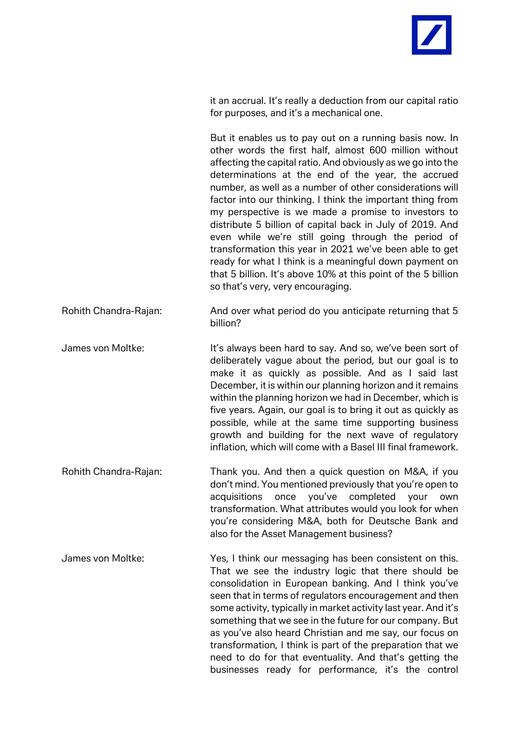

it an accrual. It's really a deduction from our capital ratio for purposes, and it's a mechanical one.

But it enables us to pay out on a running basis now. In other words the first half, almost 600 million without affecting the capital ratio. And obviously as we go into the determinations at the end of the year, the accrued number, as well as a number of other considerations will factor into our thinking. I think the important thing from my perspective is we made a promise to investors to distribute 5 billion of capital back in July of 2019. And even while we're still going through the period of transformation this year in 2021 we've been able to get ready for what I think is a meaningful down payment on that 5 billion. It's above 10% at this point of the 5 billion so that's very, very encouraging.

Rohith Chandra-Rajan: And over what period do you anticipate returning that 5 billion?

James von Moltke: It's always been hard to say. And so, we've been sort of deliberately vague about the period, but our goal is to make it as quickly as possible. And as I said last December, it is within our planning horizon and it remains within the planning horizon we had in December, which is five years. Again, our goal is to bring it out as quickly as possible, while at the same time supporting business growth and building for the next wave of regulatory inflation, which will come with a Basel III final framework.

- Rohith Chandra-Rajan: Thank you. And then a quick question on M&A, if you don't mind. You mentioned previously that you're open to acquisitions once you've completed your own transformation. What attributes would you look for when you're considering M&A, both for Deutsche Bank and also for the Asset Management business?
- James von Moltke: Yes, I think our messaging has been consistent on this. That we see the industry logic that there should be consolidation in European banking. And I think you've seen that in terms of regulators encouragement and then some activity, typically in market activity last year. And it's something that we see in the future for our company. But as you've also heard Christian and me say, our focus on transformation, I think is part of the preparation that we need to do for that eventuality. And that's getting the businesses ready for performance, it's the control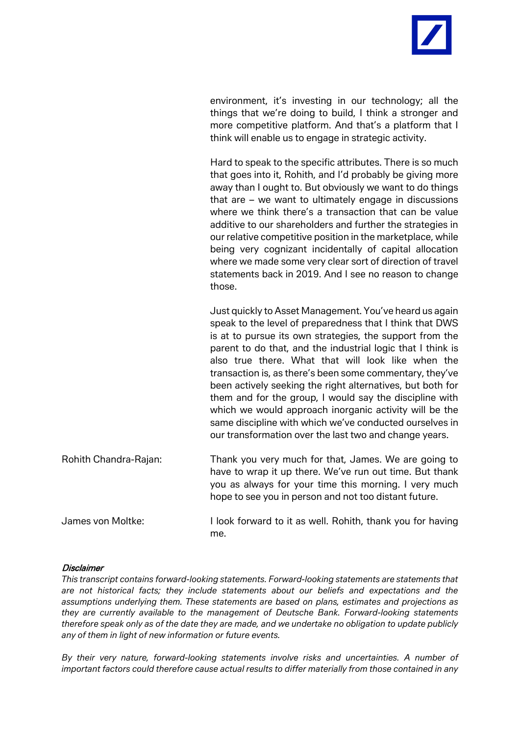

environment, it's investing in our technology; all the things that we're doing to build, I think a stronger and more competitive platform. And that's a platform that I think will enable us to engage in strategic activity.

Hard to speak to the specific attributes. There is so much that goes into it, Rohith, and I'd probably be giving more away than I ought to. But obviously we want to do things that are – we want to ultimately engage in discussions where we think there's a transaction that can be value additive to our shareholders and further the strategies in our relative competitive position in the marketplace, while being very cognizant incidentally of capital allocation where we made some very clear sort of direction of travel statements back in 2019. And I see no reason to change those.

Just quickly to Asset Management. You've heard us again speak to the level of preparedness that I think that DWS is at to pursue its own strategies, the support from the parent to do that, and the industrial logic that I think is also true there. What that will look like when the transaction is, as there's been some commentary, they've been actively seeking the right alternatives, but both for them and for the group, I would say the discipline with which we would approach inorganic activity will be the same discipline with which we've conducted ourselves in our transformation over the last two and change years.

Rohith Chandra-Rajan: Thank you very much for that, James. We are going to have to wrap it up there. We've run out time. But thank you as always for your time this morning. I very much hope to see you in person and not too distant future. James von Moltke: I look forward to it as well. Rohith, thank you for having

## me.

## **Disclaimer**

*This transcript contains forward-looking statements. Forward-looking statements are statements that are not historical facts; they include statements about our beliefs and expectations and the assumptions underlying them. These statements are based on plans, estimates and projections as they are currently available to the management of Deutsche Bank. Forward-looking statements therefore speak only as of the date they are made, and we undertake no obligation to update publicly any of them in light of new information or future events.*

*By their very nature, forward-looking statements involve risks and uncertainties. A number of important factors could therefore cause actual results to differ materially from those contained in any*